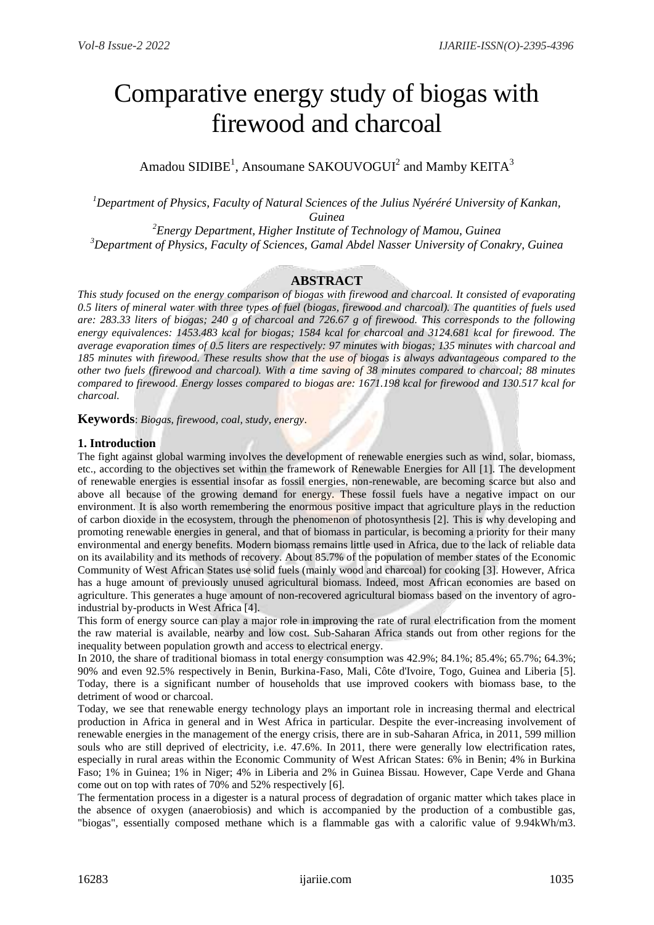# Comparative energy study of biogas with firewood and charcoal

Amadou SIDIBE<sup>1</sup>, Ansoumane SAKOUVOGUI<sup>2</sup> and Mamby KEITA<sup>3</sup>

*<sup>1</sup>Department of Physics, Faculty of Natural Sciences of the Julius Nyéréré University of Kankan, Guinea*

*<sup>2</sup>Energy Department, Higher Institute of Technology of Mamou, Guinea <sup>3</sup>Department of Physics, Faculty of Sciences, Gamal Abdel Nasser University of Conakry, Guinea*

# **ABSTRACT**

*This study focused on the energy comparison of biogas with firewood and charcoal. It consisted of evaporating 0.5 liters of mineral water with three types of fuel (biogas, firewood and charcoal). The quantities of fuels used are: 283.33 liters of biogas; 240 g of charcoal and 726.67 g of firewood. This corresponds to the following energy equivalences: 1453.483 kcal for biogas; 1584 kcal for charcoal and 3124.681 kcal for firewood. The average evaporation times of 0.5 liters are respectively: 97 minutes with biogas; 135 minutes with charcoal and 185 minutes with firewood. These results show that the use of biogas is always advantageous compared to the other two fuels (firewood and charcoal). With a time saving of 38 minutes compared to charcoal; 88 minutes compared to firewood. Energy losses compared to biogas are: 1671.198 kcal for firewood and 130.517 kcal for charcoal.*

**Keywords**: *Biogas, firewood, coal, study, energy*.

## **1. Introduction**

The fight against global warming involves the development of renewable energies such as wind, solar, biomass, etc., according to the objectives set within the framework of Renewable Energies for All [1]. The development of renewable energies is essential insofar as fossil energies, non-renewable, are becoming scarce but also and above all because of the growing demand for energy. These fossil fuels have a negative impact on our environment. It is also worth remembering the enormous positive impact that agriculture plays in the reduction of carbon dioxide in the ecosystem, through the phenomenon of photosynthesis [2]. This is why developing and promoting renewable energies in general, and that of biomass in particular, is becoming a priority for their many environmental and energy benefits. Modern biomass remains little used in Africa, due to the lack of reliable data on its availability and its methods of recovery. About 85.7% of the population of member states of the Economic Community of West African States use solid fuels (mainly wood and charcoal) for cooking [3]. However, Africa has a huge amount of previously unused agricultural biomass. Indeed, most African economies are based on agriculture. This generates a huge amount of non-recovered agricultural biomass based on the inventory of agroindustrial by-products in West Africa [4].

This form of energy source can play a major role in improving the rate of rural electrification from the moment the raw material is available, nearby and low cost. Sub-Saharan Africa stands out from other regions for the inequality between population growth and access to electrical energy.

In 2010, the share of traditional biomass in total energy consumption was 42.9%; 84.1%; 85.4%; 65.7%; 64.3%; 90% and even 92.5% respectively in Benin, Burkina-Faso, Mali, Côte d'Ivoire, Togo, Guinea and Liberia [5]. Today, there is a significant number of households that use improved cookers with biomass base, to the detriment of wood or charcoal.

Today, we see that renewable energy technology plays an important role in increasing thermal and electrical production in Africa in general and in West Africa in particular. Despite the ever-increasing involvement of renewable energies in the management of the energy crisis, there are in sub-Saharan Africa, in 2011, 599 million souls who are still deprived of electricity, i.e. 47.6%. In 2011, there were generally low electrification rates, especially in rural areas within the Economic Community of West African States: 6% in Benin; 4% in Burkina Faso; 1% in Guinea; 1% in Niger; 4% in Liberia and 2% in Guinea Bissau. However, Cape Verde and Ghana come out on top with rates of 70% and 52% respectively [6].

The fermentation process in a digester is a natural process of degradation of organic matter which takes place in the absence of oxygen (anaerobiosis) and which is accompanied by the production of a combustible gas, "biogas", essentially composed methane which is a flammable gas with a calorific value of 9.94kWh/m3.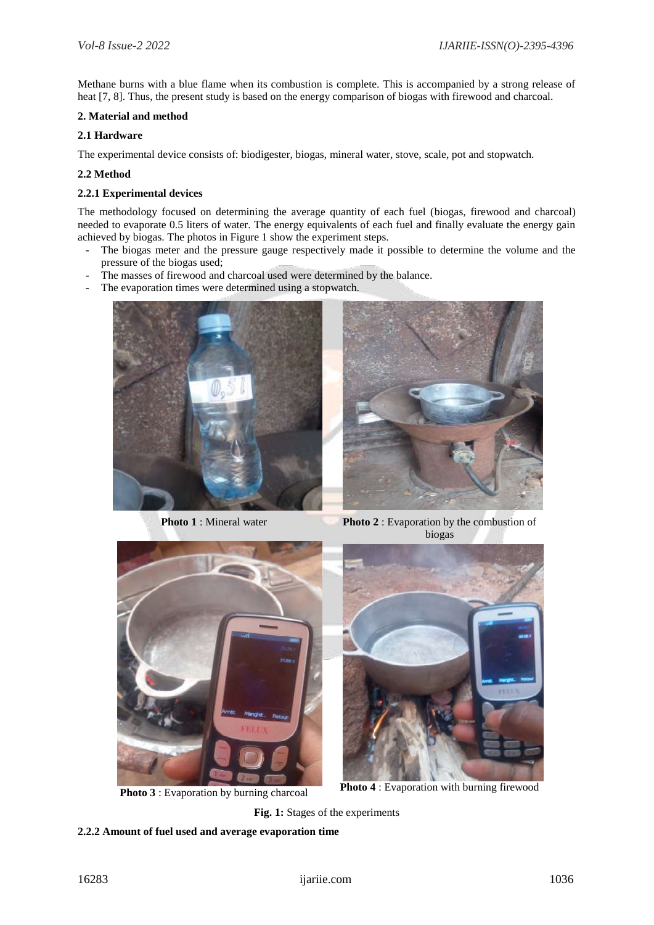Methane burns with a blue flame when its combustion is complete. This is accompanied by a strong release of heat [7, 8]. Thus, the present study is based on the energy comparison of biogas with firewood and charcoal.

## **2. Material and method**

## **2.1 Hardware**

The experimental device consists of: biodigester, biogas, mineral water, stove, scale, pot and stopwatch.

## **2.2 Method**

## **2.2.1 Experimental devices**

The methodology focused on determining the average quantity of each fuel (biogas, firewood and charcoal) needed to evaporate 0.5 liters of water. The energy equivalents of each fuel and finally evaluate the energy gain achieved by biogas. The photos in Figure 1 show the experiment steps.

- The biogas meter and the pressure gauge respectively made it possible to determine the volume and the pressure of the biogas used;
- The masses of firewood and charcoal used were determined by the balance.
- The evaporation times were determined using a stopwatch.





**Photo 1** : Mineral water **Photo 2** : Evaporation by the combustion of biogas





**Photo 3** : Evaporation by burning charcoal **Photo 4** : Evaporation with burning firewood

**Fig. 1:** Stages of the experiments

## **2.2.2 Amount of fuel used and average evaporation time**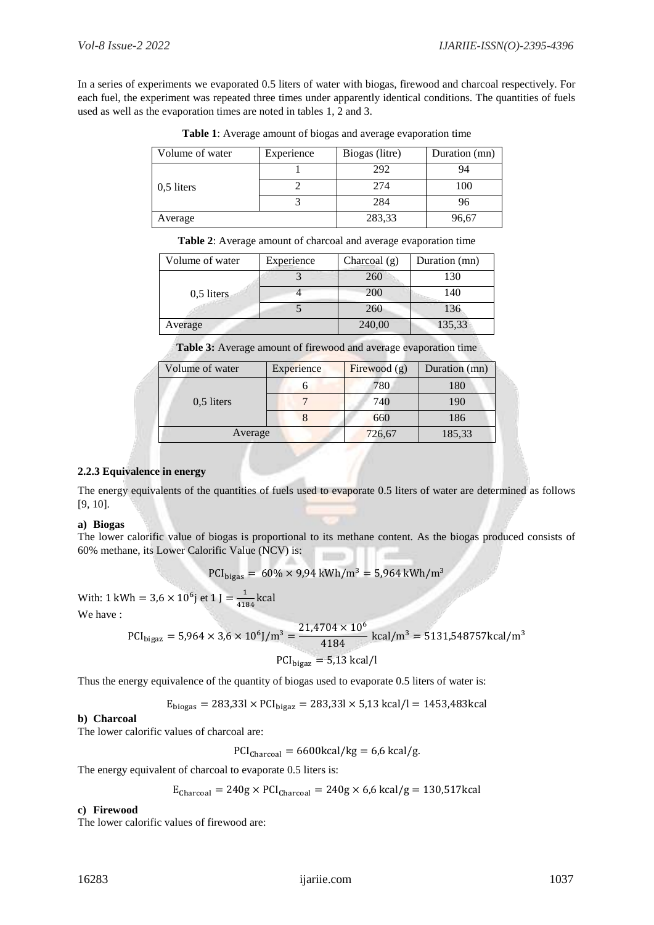In a series of experiments we evaporated 0.5 liters of water with biogas, firewood and charcoal respectively. For each fuel, the experiment was repeated three times under apparently identical conditions. The quantities of fuels used as well as the evaporation times are noted in tables 1, 2 and 3.

| Volume of water | Experience | Biogas (litre) | Duration (mn) |
|-----------------|------------|----------------|---------------|
| $0.5$ liters    |            | 292            | 94            |
|                 |            | 274            | 100           |
|                 |            | 284            | 96            |
| Average         |            | 283,33         | 96.67         |

**Table 1**: Average amount of biogas and average evaporation time

**Table 2**: Average amount of charcoal and average evaporation time

| Volume of water | Experience | Charcoal $(g)$ | Duration (mn) |
|-----------------|------------|----------------|---------------|
| $0.5$ liters    |            | 260            | 130           |
|                 |            | 200            | 140           |
|                 |            | 260            | 136           |
| Average         |            | 240,00         | 135,33        |

**Table 3:** Average amount of firewood and average evaporation time

| Volume of water | Experience | Firewood $(g)$ | Duration (mn) |
|-----------------|------------|----------------|---------------|
| $0.5$ liters    |            | 780            | 180           |
|                 |            | 740            | 190           |
|                 |            | 660            | 186           |
| Average         |            | 726,67         | 185,33        |

## **2.2.3 Equivalence in energy**

The energy equivalents of the quantities of fuels used to evaporate 0.5 liters of water are determined as follows [9, 10].

## **a) Biogas**

The lower calorific value of biogas is proportional to its methane content. As the biogas produced consists of 60% methane, its Lower Calorific Value (NCV) is:

$$
PCI_{bigas} = 60\% \times 9.94 \text{ kWh/m}^3 = 5.964 \text{ kWh/m}^3
$$

With: 1 kWh =  $3.6 \times 10^6$  j et 1 J =  $\frac{1}{14}$  $\frac{1}{4184}$  kcal

We have :

$$
PCI_{bigaz} = 5,964 \times 3,6 \times 10^6 / m^3 = \frac{21,4704 \times 10^6}{4184} \text{ kcal/m}^3 = 5131,548757 \text{ kcal/m}^3
$$

$$
PCI_{bigaz} = 5,13 \text{ kcal/l}
$$

Thus the energy equivalence of the quantity of biogas used to evaporate 0.5 liters of water is:

$$
E_{\text{bigas}} = 283,331 \times PCI_{\text{bigaz}} = 283,331 \times 5,13 \text{ kcal/l} = 1453,483 \text{kcal}
$$

## **b) Charcoal**

The lower calorific values of charcoal are:

 $PCI_{\text{Charcoal}} = 6600 \text{kcal/kg} = 6.6 \text{ kcal/g}.$ 

The energy equivalent of charcoal to evaporate 0.5 liters is:

$$
E_{\text{Charcoal}} = 240g \times PCI_{\text{Charcoal}} = 240g \times 6,6 \text{ kcal/g} = 130,517 \text{ kcal}
$$

## **c) Firewood**

The lower calorific values of firewood are: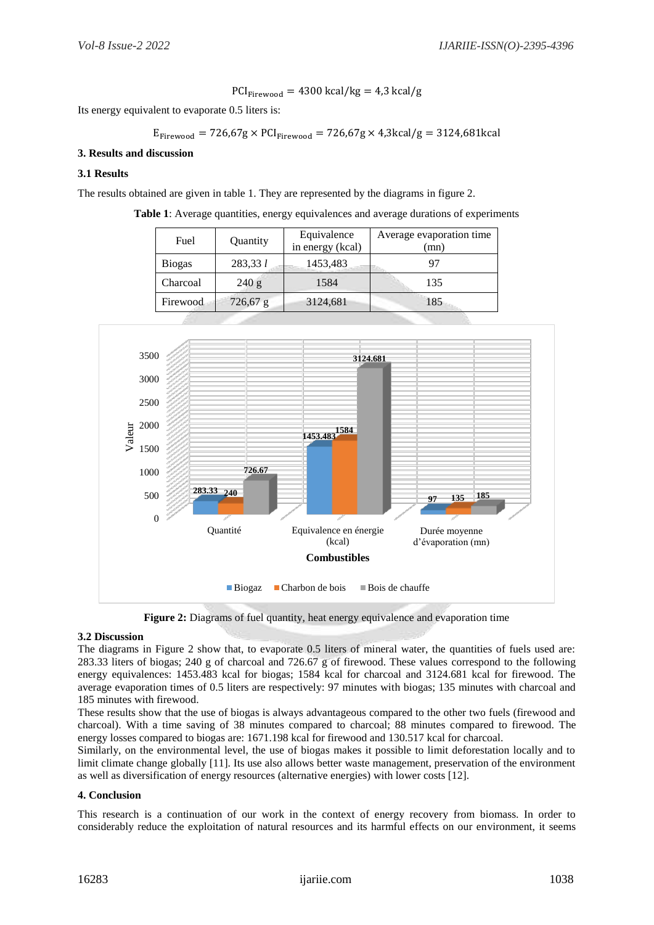$$
PCI_{Firewood} = 4300 \text{ kcal/kg} = 4.3 \text{ kcal/g}
$$

Its energy equivalent to evaporate 0.5 liters is:

$$
E_{\text{Firewood}} = 726,67g \times PCI_{\text{Firewood}} = 726,67g \times 4,3\text{kcal/g} = 3124,681\text{kcal}
$$

## **3. Results and discussion**

## **3.1 Results**

The results obtained are given in table 1. They are represented by the diagrams in figure 2.

| Table 1: Average quantities, energy equivalences and average durations of experiments |  |  |  |
|---------------------------------------------------------------------------------------|--|--|--|
|---------------------------------------------------------------------------------------|--|--|--|

| Fuel          | Quantity   | Equivalence<br>in energy (kcal) | Average evaporation time<br>(mn |
|---------------|------------|---------------------------------|---------------------------------|
| <b>Biogas</b> | 283,331    | 1453,483                        | 97                              |
| Charcoal      | 240 g      | 1584                            | 135                             |
| Firewood      | $726,67$ g | 3124,681                        | 185                             |



**Figure 2:** Diagrams of fuel quantity, heat energy equivalence and evaporation time

#### **3.2 Discussion**

The diagrams in Figure 2 show that, to evaporate 0.5 liters of mineral water, the quantities of fuels used are: 283.33 liters of biogas; 240 g of charcoal and 726.67 g of firewood. These values correspond to the following energy equivalences: 1453.483 kcal for biogas; 1584 kcal for charcoal and 3124.681 kcal for firewood. The average evaporation times of 0.5 liters are respectively: 97 minutes with biogas; 135 minutes with charcoal and 185 minutes with firewood.

These results show that the use of biogas is always advantageous compared to the other two fuels (firewood and charcoal). With a time saving of 38 minutes compared to charcoal; 88 minutes compared to firewood. The energy losses compared to biogas are: 1671.198 kcal for firewood and 130.517 kcal for charcoal.

Similarly, on the environmental level, the use of biogas makes it possible to limit deforestation locally and to limit climate change globally [11]. Its use also allows better waste management, preservation of the environment as well as diversification of energy resources (alternative energies) with lower costs [12].

#### **4. Conclusion**

This research is a continuation of our work in the context of energy recovery from biomass. In order to considerably reduce the exploitation of natural resources and its harmful effects on our environment, it seems